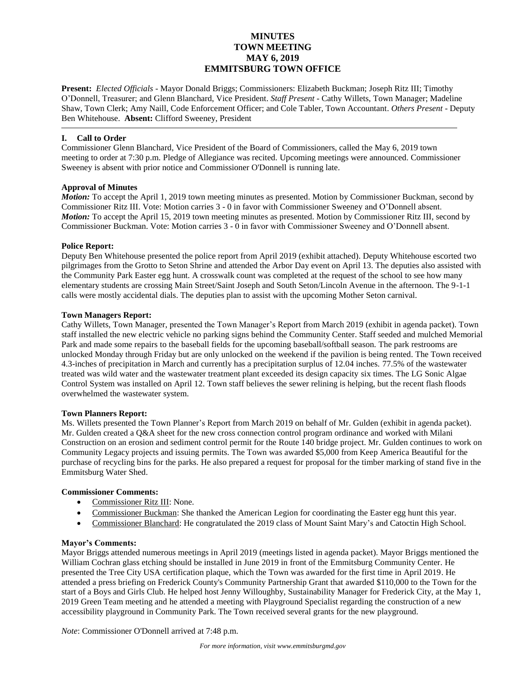# **MINUTES TOWN MEETING MAY 6, 2019 EMMITSBURG TOWN OFFICE**

**Present:** *Elected Officials* - Mayor Donald Briggs; Commissioners: Elizabeth Buckman; Joseph Ritz III; Timothy O'Donnell, Treasurer; and Glenn Blanchard, Vice President. *Staff Present* - Cathy Willets, Town Manager; Madeline Shaw, Town Clerk; Amy Naill, Code Enforcement Officer; and Cole Tabler, Town Accountant. *Others Present* - Deputy Ben Whitehouse. **Absent:** Clifford Sweeney, President

### **I. Call to Order**

Commissioner Glenn Blanchard, Vice President of the Board of Commissioners, called the May 6, 2019 town meeting to order at 7:30 p.m. Pledge of Allegiance was recited. Upcoming meetings were announced. Commissioner Sweeney is absent with prior notice and Commissioner O'Donnell is running late.

## **Approval of Minutes**

*Motion:* To accept the April 1, 2019 town meeting minutes as presented. Motion by Commissioner Buckman, second by Commissioner Ritz III. Vote: Motion carries 3 - 0 in favor with Commissioner Sweeney and O'Donnell absent. *Motion:* To accept the April 15, 2019 town meeting minutes as presented. Motion by Commissioner Ritz III, second by Commissioner Buckman. Vote: Motion carries 3 - 0 in favor with Commissioner Sweeney and O'Donnell absent.

## **Police Report:**

Deputy Ben Whitehouse presented the police report from April 2019 (exhibit attached). Deputy Whitehouse escorted two pilgrimages from the Grotto to Seton Shrine and attended the Arbor Day event on April 13. The deputies also assisted with the Community Park Easter egg hunt. A crosswalk count was completed at the request of the school to see how many elementary students are crossing Main Street/Saint Joseph and South Seton/Lincoln Avenue in the afternoon. The 9-1-1 calls were mostly accidental dials. The deputies plan to assist with the upcoming Mother Seton carnival.

## **Town Managers Report:**

Cathy Willets, Town Manager, presented the Town Manager's Report from March 2019 (exhibit in agenda packet). Town staff installed the new electric vehicle no parking signs behind the Community Center. Staff seeded and mulched Memorial Park and made some repairs to the baseball fields for the upcoming baseball/softball season. The park restrooms are unlocked Monday through Friday but are only unlocked on the weekend if the pavilion is being rented. The Town received 4.3-inches of precipitation in March and currently has a precipitation surplus of 12.04 inches. 77.5% of the wastewater treated was wild water and the wastewater treatment plant exceeded its design capacity six times. The LG Sonic Algae Control System was installed on April 12. Town staff believes the sewer relining is helping, but the recent flash floods overwhelmed the wastewater system.

#### **Town Planners Report:**

Ms. Willets presented the Town Planner's Report from March 2019 on behalf of Mr. Gulden (exhibit in agenda packet). Mr. Gulden created a Q&A sheet for the new cross connection control program ordinance and worked with Milani Construction on an erosion and sediment control permit for the Route 140 bridge project. Mr. Gulden continues to work on Community Legacy projects and issuing permits. The Town was awarded \$5,000 from Keep America Beautiful for the purchase of recycling bins for the parks. He also prepared a request for proposal for the timber marking of stand five in the Emmitsburg Water Shed.

## **Commissioner Comments:**

- Commissioner Ritz III: None.
- Commissioner Buckman: She thanked the American Legion for coordinating the Easter egg hunt this year.
- Commissioner Blanchard: He congratulated the 2019 class of Mount Saint Mary's and Catoctin High School.

## **Mayor's Comments:**

Mayor Briggs attended numerous meetings in April 2019 (meetings listed in agenda packet). Mayor Briggs mentioned the William Cochran glass etching should be installed in June 2019 in front of the Emmitsburg Community Center. He presented the Tree City USA certification plaque, which the Town was awarded for the first time in April 2019. He attended a press briefing on Frederick County's Community Partnership Grant that awarded \$110,000 to the Town for the start of a Boys and Girls Club. He helped host Jenny Willoughby, Sustainability Manager for Frederick City, at the May 1, 2019 Green Team meeting and he attended a meeting with Playground Specialist regarding the construction of a new accessibility playground in Community Park. The Town received several grants for the new playground.

*Note*: Commissioner O'Donnell arrived at 7:48 p.m.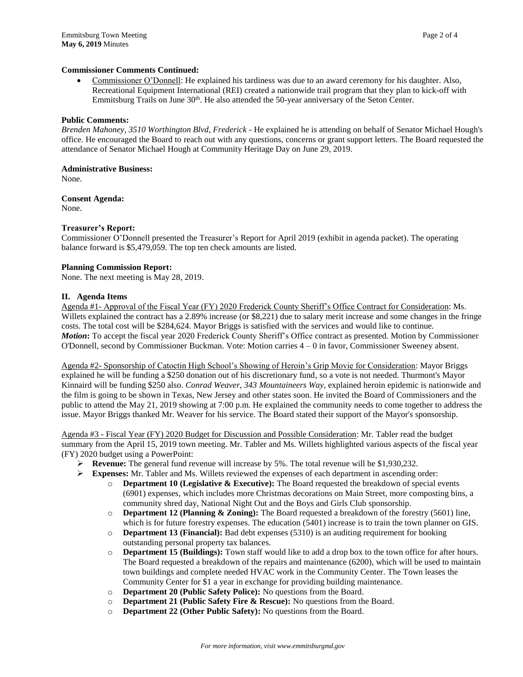### **Commissioner Comments Continued:**

 Commissioner O'Donnell: He explained his tardiness was due to an award ceremony for his daughter. Also, Recreational Equipment International (REI) created a nationwide trail program that they plan to kick-off with Emmitsburg Trails on June 30<sup>th</sup>. He also attended the 50-year anniversary of the Seton Center.

#### **Public Comments:**

*Brenden Mahoney, 3510 Worthington Blvd, Frederick -* He explained he is attending on behalf of Senator Michael Hough's office. He encouraged the Board to reach out with any questions, concerns or grant support letters. The Board requested the attendance of Senator Michael Hough at Community Heritage Day on June 29, 2019.

#### **Administrative Business:**

None.

**Consent Agenda:** None.

#### **Treasurer's Report:**

Commissioner O'Donnell presented the Treasurer's Report for April 2019 (exhibit in agenda packet). The operating balance forward is \$5,479,059. The top ten check amounts are listed.

#### **Planning Commission Report:**

None. The next meeting is May 28, 2019.

#### **II. Agenda Items**

Agenda #1- Approval of the Fiscal Year (FY) 2020 Frederick County Sheriff's Office Contract for Consideration: Ms. Willets explained the contract has a 2.89% increase (or \$8,221) due to salary merit increase and some changes in the fringe costs. The total cost will be \$284,624. Mayor Briggs is satisfied with the services and would like to continue. *Motion***:** To accept the fiscal year 2020 Frederick County Sheriff's Office contract as presented. Motion by Commissioner O'Donnell, second by Commissioner Buckman. Vote: Motion carries 4 – 0 in favor, Commissioner Sweeney absent.

Agenda #2- Sponsorship of Catoctin High School's Showing of Heroin's Grip Movie for Consideration: Mayor Briggs explained he will be funding a \$250 donation out of his discretionary fund, so a vote is not needed. Thurmont's Mayor Kinnaird will be funding \$250 also. *Conrad Weaver, 343 Mountaineers Way*, explained heroin epidemic is nationwide and the film is going to be shown in Texas, New Jersey and other states soon. He invited the Board of Commissioners and the public to attend the May 21, 2019 showing at 7:00 p.m. He explained the community needs to come together to address the issue. Mayor Briggs thanked Mr. Weaver for his service. The Board stated their support of the Mayor's sponsorship.

Agenda #3 - Fiscal Year (FY) 2020 Budget for Discussion and Possible Consideration: Mr. Tabler read the budget summary from the April 15, 2019 town meeting. Mr. Tabler and Ms. Willets highlighted various aspects of the fiscal year (FY) 2020 budget using a PowerPoint:

- **Exercise:** The general fund revenue will increase by 5%. The total revenue will be \$1,930,232.
- **Expenses:** Mr. Tabler and Ms. Willets reviewed the expenses of each department in ascending order:
	- o **Department 10 (Legislative & Executive):** The Board requested the breakdown of special events (6901) expenses, which includes more Christmas decorations on Main Street, more composting bins, a community shred day, National Night Out and the Boys and Girls Club sponsorship.
	- o **Department 12 (Planning & Zoning):** The Board requested a breakdown of the forestry (5601) line, which is for future forestry expenses. The education (5401) increase is to train the town planner on GIS.
	- o **Department 13 (Financial):** Bad debt expenses (5310) is an auditing requirement for booking outstanding personal property tax balances.
	- o **Department 15 (Buildings):** Town staff would like to add a drop box to the town office for after hours. The Board requested a breakdown of the repairs and maintenance (6200), which will be used to maintain town buildings and complete needed HVAC work in the Community Center. The Town leases the Community Center for \$1 a year in exchange for providing building maintenance.
	- o **Department 20 (Public Safety Police):** No questions from the Board.
	- o **Department 21 (Public Safety Fire & Rescue):** No questions from the Board.
	- o **Department 22 (Other Public Safety):** No questions from the Board.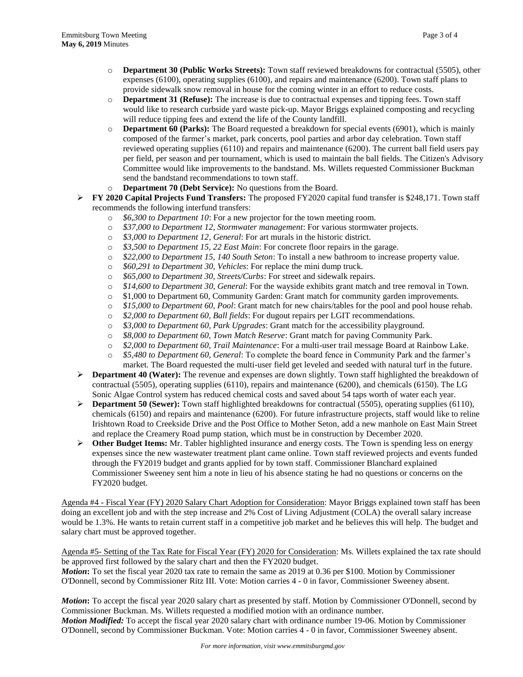- o **Department 30 (Public Works Streets):** Town staff reviewed breakdowns for contractual (5505), other expenses (6100), operating supplies (6100), and repairs and maintenance (6200). Town staff plans to provide sidewalk snow removal in house for the coming winter in an effort to reduce costs.
- o **Department 31 (Refuse):** The increase is due to contractual expenses and tipping fees. Town staff would like to research curbside yard waste pick-up. Mayor Briggs explained composting and recycling will reduce tipping fees and extend the life of the County landfill.
- o **Department 60 (Parks):** The Board requested a breakdown for special events (6901), which is mainly composed of the farmer's market, park concerts, pool parties and arbor day celebration. Town staff reviewed operating supplies (6110) and repairs and maintenance (6200). The current ball field users pay per field, per season and per tournament, which is used to maintain the ball fields. The Citizen's Advisory Committee would like improvements to the bandstand. Ms. Willets requested Commissioner Buckman send the bandstand recommendations to town staff.
- o **Department 70 (Debt Service):** No questions from the Board.
- **FY 2020 Capital Projects Fund Transfers:** The proposed FY2020 capital fund transfer is \$248,171. Town staff recommends the following interfund transfers:
	- o *\$6,300 to Department 10*: For a new projector for the town meeting room.
	- o *\$37,000 to Department 12, Stormwater management*: For various stormwater projects.
	- o *\$3,000 to Department 12, General*: For art murals in the historic district.
	- o *\$3,500 to Department 15, 22 East Main*: For concrete floor repairs in the garage.
	- o *\$22,000 to Department 15, 140 South Seton*: To install a new bathroom to increase property value.
	- o *\$60,291 to Department 30, Vehicles*: For replace the mini dump truck.
	- o *\$65,000 to Department 30, Streets/Curbs*: For street and sidewalk repairs.
	- o *\$14,600 to Department 30, General*: For the wayside exhibits grant match and tree removal in Town.
	- o \$1,000 to Department 60, Community Garden: Grant match for community garden improvements.
	- o *\$15,000 to Department 60, Pool*: Grant match for new chairs/tables for the pool and pool house rehab.
	- o *\$2,000 to Department 60, Ball fields*: For dugout repairs per LGIT recommendations.
	- o *\$3,000 to Department 60, Park Upgrades*: Grant match for the accessibility playground.
	- o *\$8,000 to Department 60, Town Match Reserve*: Grant match for paving Community Park.
	- o *\$2,000 to Department 60, Trail Maintenance*: For a multi-user trail message Board at Rainbow Lake.
	- o *\$5,480 to Department 60, General*: To complete the board fence in Community Park and the farmer's market. The Board requested the multi-user field get leveled and seeded with natural turf in the future.
- **Department 40 (Water):** The revenue and expenses are down slightly. Town staff highlighted the breakdown of contractual (5505), operating supplies (6110), repairs and maintenance (6200), and chemicals (6150). The LG Sonic Algae Control system has reduced chemical costs and saved about 54 taps worth of water each year.
- **Department 50 (Sewer):** Town staff highlighted breakdowns for contractual (5505), operating supplies (6110), chemicals (6150) and repairs and maintenance (6200). For future infrastructure projects, staff would like to reline Irishtown Road to Creekside Drive and the Post Office to Mother Seton, add a new manhole on East Main Street and replace the Creamery Road pump station, which must be in construction by December 2020.
- **Other Budget Items:** Mr. Tabler highlighted insurance and energy costs. The Town is spending less on energy expenses since the new wastewater treatment plant came online. Town staff reviewed projects and events funded through the FY2019 budget and grants applied for by town staff. Commissioner Blanchard explained Commissioner Sweeney sent him a note in lieu of his absence stating he had no questions or concerns on the FY2020 budget.

Agenda #4 - Fiscal Year (FY) 2020 Salary Chart Adoption for Consideration: Mayor Briggs explained town staff has been doing an excellent job and with the step increase and 2% Cost of Living Adjustment (COLA) the overall salary increase would be 1.3%. He wants to retain current staff in a competitive job market and he believes this will help. The budget and salary chart must be approved together.

Agenda #5- Setting of the Tax Rate for Fiscal Year (FY) 2020 for Consideration: Ms. Willets explained the tax rate should be approved first followed by the salary chart and then the FY2020 budget. *Motion***:** To set the fiscal year 2020 tax rate to remain the same as 2019 at 0.36 per \$100. Motion by Commissioner

O'Donnell, second by Commissioner Ritz III. Vote: Motion carries 4 - 0 in favor, Commissioner Sweeney absent.

*Motion***:** To accept the fiscal year 2020 salary chart as presented by staff. Motion by Commissioner O'Donnell, second by Commissioner Buckman. Ms. Willets requested a modified motion with an ordinance number. *Motion Modified:* To accept the fiscal year 2020 salary chart with ordinance number 19-06. Motion by Commissioner O'Donnell, second by Commissioner Buckman. Vote: Motion carries 4 - 0 in favor, Commissioner Sweeney absent.